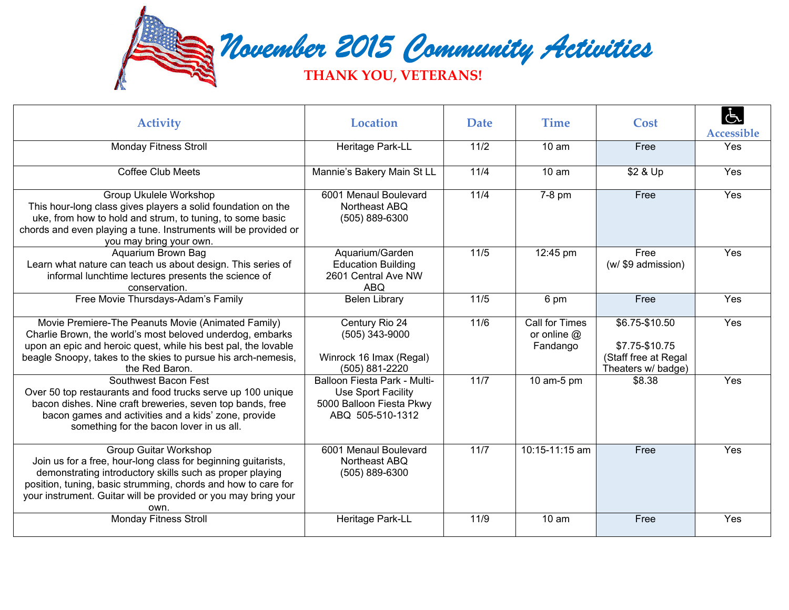

| <b>Activity</b>                                                                                                                                                                                                                                                                                      | <b>Location</b>                                                                                    | <b>Date</b> | <b>Time</b>                                        | Cost                                                                           | Accessible |
|------------------------------------------------------------------------------------------------------------------------------------------------------------------------------------------------------------------------------------------------------------------------------------------------------|----------------------------------------------------------------------------------------------------|-------------|----------------------------------------------------|--------------------------------------------------------------------------------|------------|
| <b>Monday Fitness Stroll</b>                                                                                                                                                                                                                                                                         | Heritage Park-LL                                                                                   | 11/2        | 10 am                                              | Free                                                                           | Yes        |
| <b>Coffee Club Meets</b>                                                                                                                                                                                                                                                                             | Mannie's Bakery Main St LL                                                                         | 11/4        | 10 <sub>am</sub>                                   | \$2 & Up                                                                       | Yes        |
| <b>Group Ukulele Workshop</b><br>This hour-long class gives players a solid foundation on the<br>uke, from how to hold and strum, to tuning, to some basic<br>chords and even playing a tune. Instruments will be provided or<br>you may bring your own.                                             | 6001 Menaul Boulevard<br>Northeast ABQ<br>(505) 889-6300                                           | 11/4        | 7-8 pm                                             | Free                                                                           | Yes        |
| Aquarium Brown Bag<br>Learn what nature can teach us about design. This series of<br>informal lunchtime lectures presents the science of<br>conservation.                                                                                                                                            | Aquarium/Garden<br><b>Education Building</b><br>2601 Central Ave NW<br><b>ABQ</b>                  | 11/5        | 12:45 pm                                           | Free<br>(w/ \$9 admission)                                                     | Yes        |
| Free Movie Thursdays-Adam's Family                                                                                                                                                                                                                                                                   | <b>Belen Library</b>                                                                               | 11/5        | 6 pm                                               | Free                                                                           | Yes        |
| Movie Premiere-The Peanuts Movie (Animated Family)<br>Charlie Brown, the world's most beloved underdog, embarks<br>upon an epic and heroic quest, while his best pal, the lovable<br>beagle Snoopy, takes to the skies to pursue his arch-nemesis,<br>the Red Baron.                                 | Century Rio 24<br>$(505)$ 343-9000<br>Winrock 16 Imax (Regal)<br>(505) 881-2220                    | 11/6        | <b>Call for Times</b><br>or online $@$<br>Fandango | \$6.75-\$10.50<br>\$7.75-\$10.75<br>(Staff free at Regal<br>Theaters w/ badge) | Yes        |
| Southwest Bacon Fest<br>Over 50 top restaurants and food trucks serve up 100 unique<br>bacon dishes. Nine craft breweries, seven top bands, free<br>bacon games and activities and a kids' zone, provide<br>something for the bacon lover in us all.                                                 | Balloon Fiesta Park - Multi-<br>Use Sport Facility<br>5000 Balloon Fiesta Pkwy<br>ABQ 505-510-1312 | 11/7        | 10 am-5 pm                                         | \$8.38                                                                         | Yes        |
| <b>Group Guitar Workshop</b><br>Join us for a free, hour-long class for beginning guitarists,<br>demonstrating introductory skills such as proper playing<br>position, tuning, basic strumming, chords and how to care for<br>your instrument. Guitar will be provided or you may bring your<br>own. | 6001 Menaul Boulevard<br>Northeast ABQ<br>(505) 889-6300                                           | 11/7        | 10:15-11:15 am                                     | Free                                                                           | Yes        |
| <b>Monday Fitness Stroll</b>                                                                                                                                                                                                                                                                         | Heritage Park-LL                                                                                   | 11/9        | 10 <sub>am</sub>                                   | Free                                                                           | Yes        |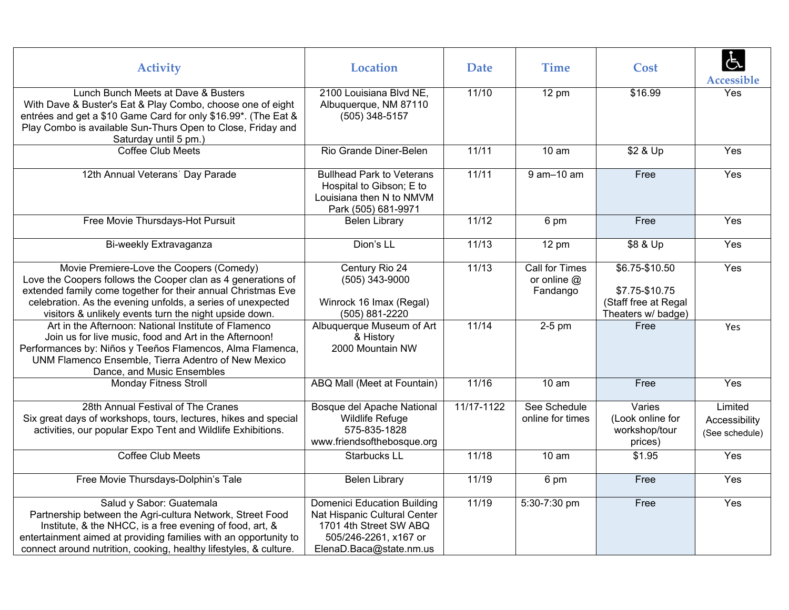| <b>Activity</b>                                                                                                                                                                                                                                                                                   | <b>Location</b>                                                                                                                                  | <b>Date</b> | <b>Time</b>                                 | Cost                                                                             | $\dot{a}$<br>Accessible                    |
|---------------------------------------------------------------------------------------------------------------------------------------------------------------------------------------------------------------------------------------------------------------------------------------------------|--------------------------------------------------------------------------------------------------------------------------------------------------|-------------|---------------------------------------------|----------------------------------------------------------------------------------|--------------------------------------------|
| Lunch Bunch Meets at Dave & Busters<br>With Dave & Buster's Eat & Play Combo, choose one of eight<br>entrées and get a \$10 Game Card for only \$16.99*. (The Eat &<br>Play Combo is available Sun-Thurs Open to Close, Friday and<br>Saturday until 5 pm.)                                       | 2100 Louisiana Blvd NE,<br>Albuquerque, NM 87110<br>(505) 348-5157                                                                               | 11/10       | $12 \text{ pm}$                             | \$16.99                                                                          | Yes                                        |
| Coffee Club Meets                                                                                                                                                                                                                                                                                 | Rio Grande Diner-Belen                                                                                                                           | 11/11       | 10 am                                       | \$2 & Up                                                                         | Yes                                        |
| 12th Annual Veterans' Day Parade                                                                                                                                                                                                                                                                  | <b>Bullhead Park to Veterans</b><br>Hospital to Gibson; E to<br>Louisiana then N to NMVM<br>Park (505) 681-9971                                  | 11/11       | $9$ am $-10$ am                             | Free                                                                             | Yes                                        |
| Free Movie Thursdays-Hot Pursuit                                                                                                                                                                                                                                                                  | <b>Belen Library</b>                                                                                                                             | 11/12       | 6 pm                                        | Free                                                                             | Yes                                        |
| Bi-weekly Extravaganza                                                                                                                                                                                                                                                                            | Dion's LL                                                                                                                                        | 11/13       | 12 pm                                       | \$8 & Up                                                                         | Yes                                        |
| Movie Premiere-Love the Coopers (Comedy)<br>Love the Coopers follows the Cooper clan as 4 generations of<br>extended family come together for their annual Christmas Eve<br>celebration. As the evening unfolds, a series of unexpected<br>visitors & unlikely events turn the night upside down. | Century Rio 24<br>(505) 343-9000<br>Winrock 16 Imax (Regal)<br>(505) 881-2220                                                                    | 11/13       | Call for Times<br>or online $@$<br>Fandango | $$6.75 - $10.50$<br>\$7.75-\$10.75<br>(Staff free at Regal<br>Theaters w/ badge) | Yes                                        |
| Art in the Afternoon: National Institute of Flamenco<br>Join us for live music, food and Art in the Afternoon!<br>Performances by: Niños y Teeños Flamencos, Alma Flamenca,<br>UNM Flamenco Ensemble, Tierra Adentro of New Mexico<br>Dance, and Music Ensembles                                  | Albuquerque Museum of Art<br>& History<br>2000 Mountain NW                                                                                       | 11/14       | 2-5 pm                                      | Free                                                                             | Yes                                        |
| <b>Monday Fitness Stroll</b>                                                                                                                                                                                                                                                                      | ABQ Mall (Meet at Fountain)                                                                                                                      | 11/16       | 10 am                                       | Free                                                                             | Yes                                        |
| 28th Annual Festival of The Cranes<br>Six great days of workshops, tours, lectures, hikes and special<br>activities, our popular Expo Tent and Wildlife Exhibitions.                                                                                                                              | Bosque del Apache National<br>Wildlife Refuge<br>575-835-1828<br>www.friendsofthebosque.org                                                      | 11/17-1122  | See Schedule<br>online for times            | Varies<br>(Look online for<br>workshop/tour<br>prices)                           | Limited<br>Accessibility<br>(See schedule) |
| <b>Coffee Club Meets</b>                                                                                                                                                                                                                                                                          | Starbucks LL                                                                                                                                     | 11/18       | 10 am                                       | \$1.95                                                                           | Yes                                        |
| Free Movie Thursdays-Dolphin's Tale                                                                                                                                                                                                                                                               | <b>Belen Library</b>                                                                                                                             | 11/19       | 6 pm                                        | Free                                                                             | Yes                                        |
| Salud y Sabor: Guatemala<br>Partnership between the Agri-cultura Network, Street Food<br>Institute, & the NHCC, is a free evening of food, art, &<br>entertainment aimed at providing families with an opportunity to<br>connect around nutrition, cooking, healthy lifestyles, & culture.        | <b>Domenici Education Building</b><br>Nat Hispanic Cultural Center<br>1701 4th Street SW ABQ<br>505/246-2261, x167 or<br>ElenaD.Baca@state.nm.us | 11/19       | 5:30-7:30 pm                                | Free                                                                             | Yes                                        |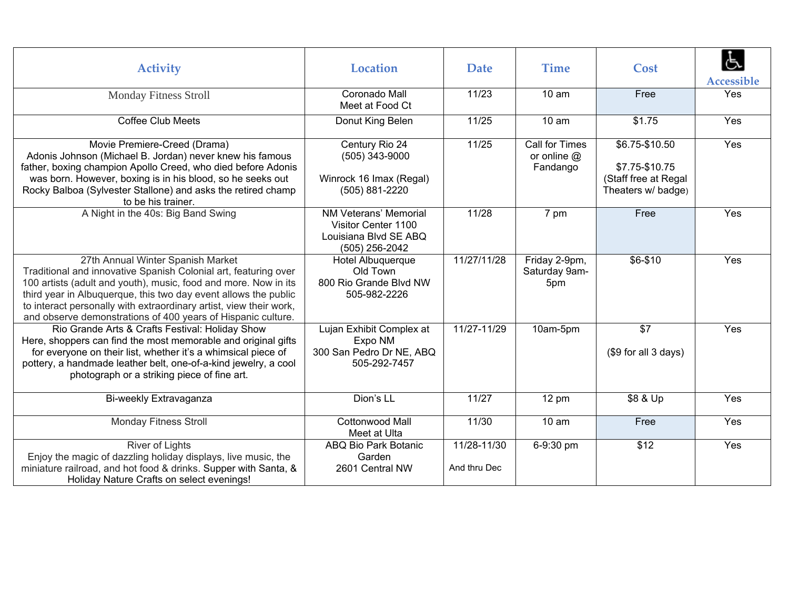| <b>Activity</b>                                                                                                                                                                                                                                                                                                                                                                  | <b>Location</b>                                                                         | <b>Date</b>                 | <b>Time</b>                                        | Cost                                                                           | <b>Accessible</b> |
|----------------------------------------------------------------------------------------------------------------------------------------------------------------------------------------------------------------------------------------------------------------------------------------------------------------------------------------------------------------------------------|-----------------------------------------------------------------------------------------|-----------------------------|----------------------------------------------------|--------------------------------------------------------------------------------|-------------------|
| <b>Monday Fitness Stroll</b>                                                                                                                                                                                                                                                                                                                                                     | Coronado Mall<br>Meet at Food Ct                                                        | 11/23                       | 10 <sub>am</sub>                                   | Free                                                                           | Yes               |
| <b>Coffee Club Meets</b>                                                                                                                                                                                                                                                                                                                                                         | Donut King Belen                                                                        | 11/25                       | 10 <sub>am</sub>                                   | \$1.75                                                                         | Yes               |
| Movie Premiere-Creed (Drama)<br>Adonis Johnson (Michael B. Jordan) never knew his famous<br>father, boxing champion Apollo Creed, who died before Adonis<br>was born. However, boxing is in his blood, so he seeks out<br>Rocky Balboa (Sylvester Stallone) and asks the retired champ<br>to be his trainer.                                                                     | Century Rio 24<br>(505) 343-9000<br>Winrock 16 Imax (Regal)<br>(505) 881-2220           | 11/25                       | <b>Call for Times</b><br>or online $@$<br>Fandango | \$6.75-\$10.50<br>\$7.75-\$10.75<br>(Staff free at Regal<br>Theaters w/ badge) | Yes               |
| A Night in the 40s: Big Band Swing                                                                                                                                                                                                                                                                                                                                               | NM Veterans' Memorial<br>Visitor Center 1100<br>Louisiana Blvd SE ABQ<br>(505) 256-2042 | 11/28                       | 7 pm                                               | Free                                                                           | Yes               |
| 27th Annual Winter Spanish Market<br>Traditional and innovative Spanish Colonial art, featuring over<br>100 artists (adult and youth), music, food and more. Now in its<br>third year in Albuquerque, this two day event allows the public<br>to interact personally with extraordinary artist, view their work,<br>and observe demonstrations of 400 years of Hispanic culture. | Hotel Albuquerque<br>Old Town<br>800 Rio Grande Blvd NW<br>505-982-2226                 | 11/27/11/28                 | Friday 2-9pm,<br>Saturday 9am-<br>5pm              | $$6 - $10$                                                                     | Yes               |
| Rio Grande Arts & Crafts Festival: Holiday Show<br>Here, shoppers can find the most memorable and original gifts<br>for everyone on their list, whether it's a whimsical piece of<br>pottery, a handmade leather belt, one-of-a-kind jewelry, a cool<br>photograph or a striking piece of fine art.                                                                              | Lujan Exhibit Complex at<br>Expo NM<br>300 San Pedro Dr NE, ABQ<br>505-292-7457         | 11/27-11/29                 | 10am-5pm                                           | \$7<br>(\$9 for all 3 days)                                                    | Yes               |
| Bi-weekly Extravaganza                                                                                                                                                                                                                                                                                                                                                           | Dion's LL                                                                               | 11/27                       | 12 pm                                              | \$8 & Up                                                                       | Yes               |
| <b>Monday Fitness Stroll</b>                                                                                                                                                                                                                                                                                                                                                     | Cottonwood Mall<br>Meet at Ulta                                                         | 11/30                       | 10 <sub>am</sub>                                   | Free                                                                           | Yes               |
| <b>River of Lights</b><br>Enjoy the magic of dazzling holiday displays, live music, the<br>miniature railroad, and hot food & drinks. Supper with Santa, &<br>Holiday Nature Crafts on select evenings!                                                                                                                                                                          | ABQ Bio Park Botanic<br>Garden<br>2601 Central NW                                       | 11/28-11/30<br>And thru Dec | 6-9:30 pm                                          | \$12                                                                           | Yes               |